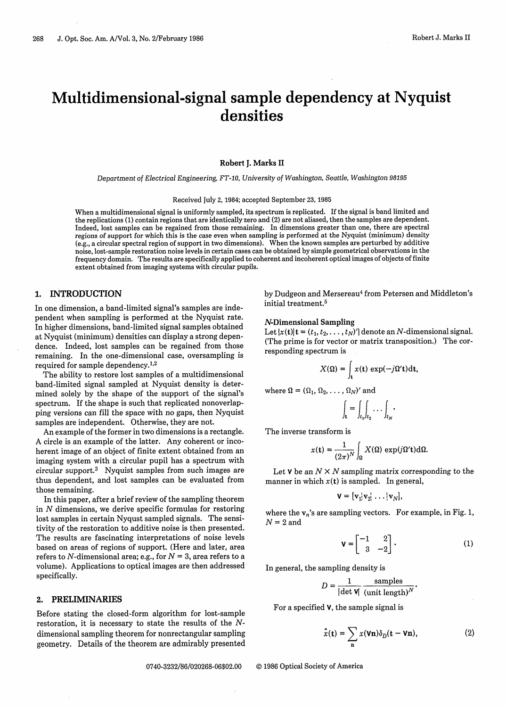# Multidimensional-signal sample dependency at Nyquist densities

**Robert J. Marks** II

*Department of Electrical Engineering, FT-10, University of Washington, Seattle, Washington 98195*

Received July 2, 1984; accepted September 23, 1985

When a multidimensional signal is uniformly sampled, its spectrum is replicated. If the signal is band limited and the replications (1) contain regions that are identically zero and (2) are not aliased, then the samples are dependent. Indeed, lost samples can be regained from those remaining. In dimensions greater than one, there are spectral regions of support for which this is the case even when sampling is performed at the Nyquist (minimum) density (e.g., a circular spectral region of support in two dimensions). When the known samples are perturbed by additive noise, lost-sample restoration noise levels in certain cases can be obtained by simple geometrical observations in the frequency domain. The results are specifically applied to coherent and incoherent optical images of objects of finite extent obtained from imaging systems with circular pupils.

## 1. INTRODUCTION

In one dimension, a band-limited signal's samples are independent when sampling is performed at the Nyquist rate. In higher dimensions, band-limited signal samples obtained at Nyquist (minimum) densities can display a strong dependence. Indeed, lost samples can be regained from those remaining. In the one-dimensional case, oversampling is required for sample dependency.<sup>1,2</sup>

The ability to restore lost samples of a multidimensional band-limited signal sampled at Nyquist density is determined solely by the shape of the support of the signal's spectrum. If the shape is such that replicated nonoverlapping versions can fill the space with no gaps, then Nyquist samples are independent. Otherwise, they are not.

An example of the former in two dimensions is a rectangle. A circle is an example of the latter. Any coherent or incoherent image of an object of finite extent obtained from an imaging system with a circular pupil has a spectrum with circular support.<sup>3</sup> Nyquist samples from such images are thus dependent, and lost samples can be evaluated from those remaining.

In this paper, after a brief review of the sampling theorem in N dimensions, we derive specific formulas for restoring lost samples in certain Nyqust sampled signals. The sensitivity of the restoration to additive noise is then presented. The results are fascinating interpretations of noise levels based on areas of regions of support. (Here and later, area refers to N-dimensional area; e.g., for  $N = 3$ , area refers to a volume). Applications to optical images are then addressed specifically.

## **2.** PRELIMINARIES

Before stating the closed-form algorithm for lost-sample restoration, it is necessary to state the results of the *N*dimensional sampling theorem for nonrectangular sampling geometry. Details of the theorem are admirably presented by Dudgeon and Mersereau<sup>4</sup> from Petersen and Middleton's initial treatment.<sup>5</sup>

#### **N-Dimensional Sampling**

Let  $\{x(t)\}\mathbf{t} = (t_1, t_2, \dots, t_N)^T\}$  denote an N-dimensional signal. (The prime is for vector or matrix transposition.) The corresponding spectrum is

$$
X(\Omega) = \int_{t} x(t) \exp(-j\Omega' t) dt,
$$

where  $\Omega = (\Omega_1, \Omega_2, \ldots, \Omega_N)'$  and

$$
\int_{\mathbf{t}} = \int_{t_1} \int_{t_2} \cdots \int_{t_N} \cdot
$$

The inverse transform is

$$
x(\mathbf{t}) = \frac{1}{(2\pi)^N} \int_{\Omega} X(\Omega) \exp(j\Omega' \mathbf{t}) d\Omega.
$$

Let **V** be an  $N \times N$  sampling matrix corresponding to the manner in which  $x(t)$  is sampled. In general,

$$
\mathbf{V} = [\mathbf{v}_1 | \mathbf{v}_2 | \dots | \mathbf{v}_N],
$$

where the  $v_n$ 's are sampling vectors. For example, in Fig. 1,  $N = 2$  and

$$
\mathbf{v} = \begin{bmatrix} -1 & 2 \\ 3 & -2 \end{bmatrix} . \tag{1}
$$

In general, the sampling density is

$$
D = \frac{1}{|\det \mathbf{V}|} \frac{\text{samples}}{(\text{unit length})^N}.
$$

For a specified V, the sample signal is

$$
\hat{x}(\mathbf{t}) = \sum_{\mathbf{n}} x(\mathbf{V}\mathbf{n}) \delta_D(\mathbf{t} - \mathbf{V}\mathbf{n}),
$$
 (2)

0740-3232/86/020268-06\$02.00 © 1986 Optical Society of America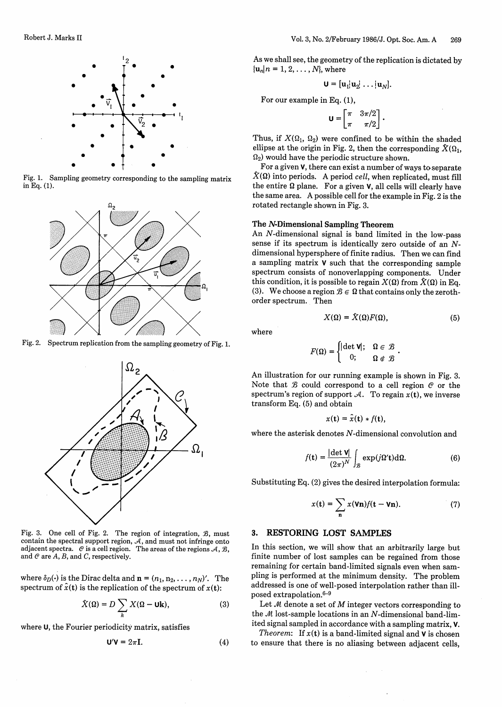

Fig. 1. Sampling geometry corresponding to the sampling matrix in Eq. (1).



Fig. 2. Spectrum replication from the sampling geometry of Fig. 1.

 $\Omega_{2}$ 



Fig. 3. One cell of Fig. 2. The region of integration, *B*, must contain the spectral support region,  $\mathcal{A},$  and must not infringe onto adjacent spectra.  $\mathcal C$  is a cell region. The areas of the regions  $\mathcal A, \mathcal B,$ and @ are A, *B,* and C, respectively.

where  $\delta_D(\cdot)$  is the Dirac delta and  $\mathbf{n} = (n_1, n_2, \dots, n_N)'$ . The spectrum of  $\hat{x}$ (t) is the replication of the spectrum of  $x$ (t):

$$
\hat{X}(\Omega) = D \sum_{k} X(\Omega - \mathbf{Uk}), \tag{3}
$$

where U, the Fourier periodicity matrix, satisfies

$$
\mathbf{U}'\mathbf{V} = 2\pi\mathbf{I}.\tag{4}
$$

As we shall see, the geometry of the replication is dictated by  $\{u_n | n = 1, 2, ..., N\}$ , where

$$
\mathbf{U} = [\mathbf{u}_1 | \mathbf{u}_2 | \dots | \mathbf{u}_N].
$$

For our example in Eq. (1),

$$
\mathbf{U} = \begin{bmatrix} \pi & 3\pi/2 \\ \pi & \pi/2 \end{bmatrix}.
$$

Thus, if  $X(\Omega_1, \Omega_2)$  were confined to be within the shaded ellipse at the origin in Fig. 2, then the corresponding  $\hat{X}(\Omega_1, \Omega_2)$  would have the periodic structure shown.

For a given V, there can exist a number of ways to separate  $\hat{X}(\Omega)$  into periods. A period *cell*, when replicated, must fill the entire  $\Omega$  plane. For a given **v**, all cells will clearly have the same area. A possible cell for the example in Fig. 2 is the rotated rectangle shown in Fig. 3.

## **The N-Dimensional Sampling Theorem**

An N-dimensional signal is band limited in the low-pass sense if its spectrum is identically zero outside of an *N*dimensional hypersphere of finite radius. Then we can find a sampling matrix V such that the corresponding sample spectrum consists of nonoverlapping components. Under this condition, it is possible to regain  $X(\Omega)$  from  $\hat{X}(\Omega)$  in Eq. (3). We choose a region  $\mathcal{B} \in \Omega$  that contains only the zerothorder spectrum. Then

$$
X(\Omega) = \hat{X}(\Omega)F(\Omega),\tag{5}
$$

where

$$
F(\Omega) = \begin{cases} |\det \mathbf{V}|; & \Omega \in \mathcal{B} \\ 0; & \Omega \notin \mathcal{B} \end{cases}.
$$

An illustration for our running example is shown in Fig. 3. Note that  $\mathcal B$  could correspond to a cell region  $\mathcal C$  or the spectrum's region of support  $A$ . To regain  $x(t)$ , we inverse transform Eq. (5) and obtain

$$
x(\mathbf{t}) = \hat{x}(\mathbf{t}) * f(\mathbf{t}),
$$

where the asterisk denotes N-dimensional convolution and

$$
f(\mathbf{t}) = \frac{|\det \mathbf{V}|}{(2\pi)^N} \int_{\mathcal{B}} \exp(j\Omega' \mathbf{t}) \mathrm{d}\Omega. \tag{6}
$$

Substituting Eq. (2) gives the desired interpolation formula:

$$
x(\mathbf{t}) = \sum_{\mathbf{n}} x(\mathbf{V}\mathbf{n}) f(\mathbf{t} - \mathbf{V}\mathbf{n}).
$$
 (7)

## **3. RESTORING LOST SAMPLES**

In this section, we will show that an arbitrarily large but finite number of lost samples can be regained from those remaining for certain band-limited signals even when sampling is performed at the minimum density. The problem addressed is one of well-posed interpolation rather than illposed extrapolation.<sup>6-9</sup>

Let  $M$  denote a set of  $M$  integer vectors corresponding to the  $M$  lost-sample locations in an  $N$ -dimensional band-limited signal sampled in accordance with a sampling matrix, V.

*Theorem:* If  $x(t)$  is a band-limited signal and  $V$  is chosen to ensure that there is no aliasing between adjacent cells.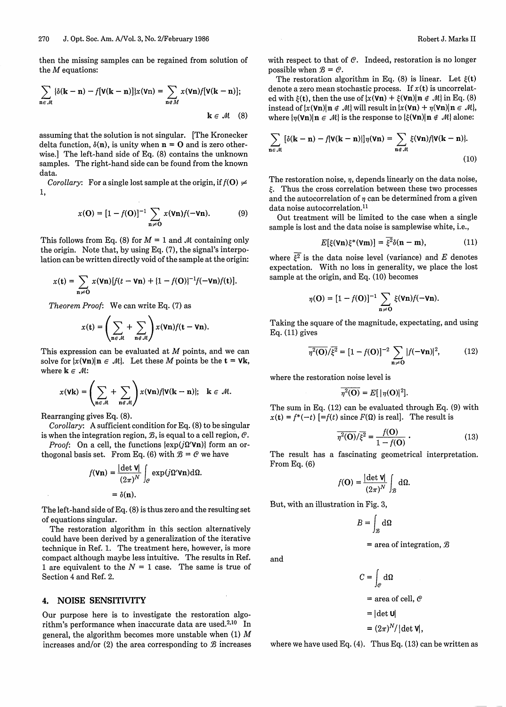$$
\sum_{\mathbf{n}\in\mathcal{M}}\left\{\delta(\mathbf{k}-\mathbf{n})-f[\mathbf{V}(\mathbf{k}-\mathbf{n})]\right\}x(\mathbf{V}\mathbf{n})=\sum_{\mathbf{n}\in\mathcal{M}}x(\mathbf{V}\mathbf{n})f[\mathbf{V}(\mathbf{k}-\mathbf{n})];
$$
\n
$$
\mathbf{k}\in\mathcal{M} \quad (8)
$$

assuming that the solution is not singular. [The Kronecker delta function,  $\delta(\mathbf{n})$ , is unity when  $\mathbf{n} = \mathbf{O}$  and is zero otherwise.] The left-hand side of Eq. (8) contains the unknown samples. The right-hand side can be found from the known data.

*Corollary:* For a single lost sample at the origin, if  $f(\mathbf{O}) \neq 0$ 1,

$$
x(\mathbf{O}) = [1 - f(\mathbf{O})]^{-1} \sum_{\mathbf{n} \neq \mathbf{O}} x(\mathbf{V}\mathbf{n})f(-\mathbf{V}\mathbf{n}).
$$
 (9)

This follows from Eq. (8) for  $M = 1$  and  $M$  containing only the origin. Note that, by using Eq. (7), the signal's interpolation can be written directly void of the sample at the origin:

$$
x(t) = \sum_{n \neq 0} x(\mathbf{V}n)[f(t - \mathbf{V}n) + \{1 - f(0)\}^{-1}f(-\mathbf{V}n)f(t)].
$$

*Theorem Proof:* We can write Eq. (7) as

$$
x(\mathbf{t}) = \left(\sum_{\mathbf{n} \in \mathcal{M}} + \sum_{\mathbf{n} \notin \mathcal{M}}\right) x(\mathbf{V}\mathbf{n}) f(\mathbf{t} - \mathbf{V}\mathbf{n}).
$$

This expression can be evaluated at *M* points, and we can solve for  $\{x(\mathbf{V}\mathbf{n})|\mathbf{n} \in \mathcal{M}\}$ . Let these *M* points be the  $\mathbf{t} = \mathbf{V}\mathbf{k}$ , where  $k \in \mathcal{M}$ :

$$
x(\mathbf{Vk}) = \left(\sum_{\mathbf{n} \in \mathcal{M}} + \sum_{\mathbf{n} \in \mathcal{M}}\right) x(\mathbf{Vn}) f[\mathbf{V(k - n)}]; \quad \mathbf{k} \in \mathcal{M}.
$$

Rearranging gives Eq. (8).

*Corollary:* A sufficient condition for Eq. (8) to be singular is when the integration region,  $\mathcal{B}$ , is equal to a cell region,  $\mathcal{C}$ .

*Proof:* On a cell, the functions  $\{ \exp(j\Omega'$ **Vn** $) \}$  form an orthogonal basis set. From Eq. (6) with  $\mathcal{B} = \mathcal{C}$  we have

$$
f(\mathbf{V}\mathbf{n}) = \frac{|\det \mathbf{V}|}{(2\pi)^N} \int_{\mathcal{C}} \exp(j\Omega' \mathbf{V}\mathbf{n}) \,d\Omega.
$$

$$
= \delta(\mathbf{n}).
$$

The left-hand side of Eq. (8) is thus zero and the resulting set of equations singular.

The restoration algorithm in this section alternatively could have been derived by a generalization of the iterative technique in Ref. 1. The treatment here, however, is more compact although maybe less intuitive. The results in Ref. 1 are equivalent to the  $N = 1$  case. The same is true of Section 4 and Ref. 2.

### **4. NOISE SENSITIVITY**

Our purpose here is to investigate the restoration algorithm's performance when inaccurate data are used.<sup>2,10</sup> In general, the algorithm becomes more unstable when (1) *M* increases and/or  $(2)$  the area corresponding to  $\mathcal{B}$  increases

then the missing samples can be regained from solution of with respect to that of @. Indeed, restoration is no longer

the *M* equations: possible when  $B = C$ .<br>The restoration algorithm in Eq. (8) is linear. Let  $\xi(t)$ denote a zero mean stochastic process. If  $x(t)$  is uncorrelated with  $\xi(t)$ , then the use of  $\left\{x(\textbf{Vn}) + \xi(\textbf{Vn})\right\}$   $\neq \mathcal{M}$  in Eq. (8) instead of  $\{x(\mathbf{V}\mathbf{n})\|\mathbf{n} \notin \mathcal{M}\}\$ will result in  $\{x(\mathbf{V}\mathbf{n}) + \eta(\mathbf{V}\mathbf{n})\|\mathbf{n} \in \mathcal{M}\}$ , where  $\{n(\mathbf{V}\mathbf{n})|\mathbf{n} \in \mathcal{M}\}\$ is the response to  $\{\xi(\mathbf{V}\mathbf{n})|\mathbf{n} \notin \mathcal{M}\}\$ alone:

$$
\sum_{\mathbf{n}\in\mathcal{M}}\left[\delta(\mathbf{k}-\mathbf{n})-f(\mathbf{V}(\mathbf{k}-\mathbf{n})\right]\eta(\mathbf{V}\mathbf{n})=\sum_{\mathbf{n}\in\mathcal{M}}\xi(\mathbf{V}\mathbf{n})f(\mathbf{V}(\mathbf{k}-\mathbf{n})).
$$
\n(10)

The restoration noise, *n*, depends linearly on the data noise,  $\epsilon$ . Thus the cross correlation between these two processes and the autocorrelation of  $n$  can be determined from a given data noise autocorrelation.<sup>11</sup>

Out treatment will be limited to the case when a single sample is lost and the data noise is samplewise white, i.e.,

$$
E[\xi(\mathbf{V}\mathbf{n})\xi^*(\mathbf{V}\mathbf{m})] = \overline{\xi^2}\delta(\mathbf{n}-\mathbf{m}),\tag{11}
$$

where  $\overline{\xi^2}$  is the data noise level (variance) and E denotes expectation. With no loss in generality, we place the lost sample at the origin, and Eq. (10) becomes

$$
\eta(\mathbf{O}) = [1 - f(\mathbf{O})]^{-1} \sum_{\mathbf{n} \neq \mathbf{O}} \xi(\mathbf{V}\mathbf{n}) f(-\mathbf{V}\mathbf{n}).
$$

Taking the square of the magnitude, expectating, and using Eq. (11) gives

$$
\overline{\eta^2(\mathbf{O})}/\overline{\xi^2} = [1 - f(\mathbf{O})]^{-2} \sum_{\mathbf{n} \neq \mathbf{O}} |f(-\mathbf{V}\mathbf{n})|^2, \quad (12)
$$

where the restoration noise level is

$$
\overline{\eta^2(\mathbf{O})}=E[\,|\eta(\mathbf{O})|^2].
$$

The sum in Eq. (12) can be evaluated through Eq. (9) with  $x(t) = f^*(-t)$  [=f(t) since  $F(\Omega)$  is real]. The result is

$$
\overline{\eta^2(O)}/\overline{\xi^2} = \frac{f(O)}{1 - f(O)}.
$$
 (13)

The result has a fascinating geometrical interpretation. From Eq. (6)

$$
f(\mathbf{O}) = \frac{|\det \mathbf{V}|}{(2\pi)^N} \int_{\mathcal{B}} d\Omega.
$$

But, with an illustration in Fig. 3,

and

$$
B = \int_{\mathcal{B}} d\Omega
$$

 $=$  area of integration,  $\mathcal{B}$ 

$$
C = \int_{\mathcal{C}} d\Omega
$$
  
= area of cell,  $\mathcal{C}$   
= |det **U**|  
=  $(2\pi)^N/|det \mathbf{V}|$ ,

where we have used Eq.  $(4)$ . Thus Eq.  $(13)$  can be written as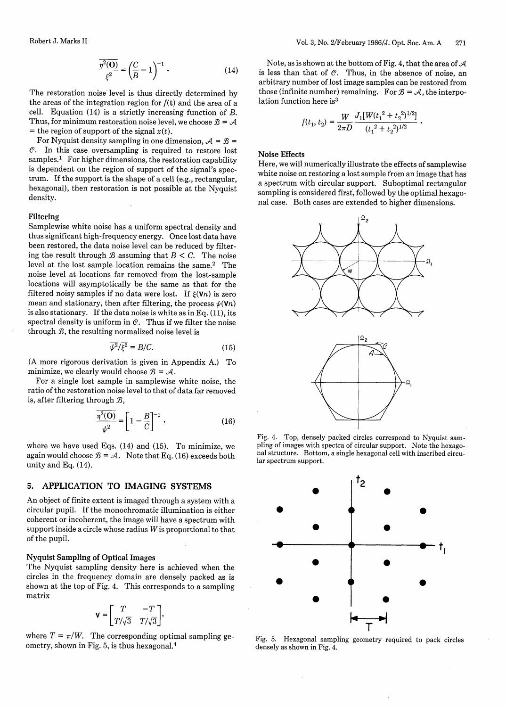$$
\frac{\overline{\eta^2(O)}}{\xi^2} = \left(\frac{C}{B} - 1\right)^{-1} . \tag{14}
$$

The restoration noise level is thus directly determined by the areas of the integration region for  $f(t)$  and the area of a cell. Equation (14) is a strictly increasing function of *B.* Thus, for minimum restoration noise level, we choose  $\mathcal{B} = \mathcal{A}$ = the region of support of the signal  $x(t)$ .

For Nyquist density sampling in one dimension,  $A = B =$ @. In this case oversampling is required to restore lost samples.<sup>1</sup> For higher dimensions, the restoration capability is dependent on the region of support of the signal's spectrum. If the support is the shape of a cell (e.g., rectangular, hexagonal), then restoration is not possible at the Nyquist density.

#### **Filtering**

Samplewise white noise has a uniform spectral density and thus significant high-frequency energy. Once lost data have been restored, the data noise level can be reduced by filtering the result through  $\mathcal B$  assuming that  $B < C$ . The noise level at the lost sample location remains the same.2 The noise level at locations far removed from the lost-sample locations will asymptotically be the same as that for the filtered noisy samples if no data were lost. If  $\xi(\mathbf{V}n)$  is zero mean and stationary, then after filtering, the process  $\psi(\mathbf{V}n)$ is also stationary. If the data noise is white as in Eq. (11), its spectral density is uniform in  $\mathcal{C}$ . Thus if we filter the noise through  $B$ , the resulting normalized noise level is

$$
\overline{\psi^2/\xi^2} = B/C.\tag{15}
$$

(A more rigorous derivation is given in Appendix A.) To minimize, we clearly would choose  $\mathcal{B} = \mathcal{A}$ .

For a single lost sample in samplewise white noise, the ratio of the restoration noise level to that of data far removed is, after filtering through  $\mathcal{B}$ ,

$$
\frac{\overline{\eta^2(\mathbf{O})}}{\overline{\psi^2}} = \left[1 - \frac{B}{C}\right]^{-1},\tag{16}
$$

where we have used Eqs.  $(14)$  and  $(15)$ . To minimize, we again would choose  $\mathcal{B} = \mathcal{A}$ . Note that Eq. (16) exceeds both unity and Eq. (14).

## **5. APPLICATION TO IMAGING SYSTEMS**

An object of finite extent is imaged through a system with a circular pupil. If the monochromatic illumination is either coherent or incoherent, the image will have a spectrum with support inside a circle whose radius W is proportional to that of the pupil.

## **Nyquist Sampling of Optical Images**

The Nyquist sampling density here is achieved when the circles in the frequency domain are densely packed as is shown at the top of Fig. 4. This corresponds to a sampling matrix

$$
\mathbf{v} = \begin{bmatrix} T & -T \\ T/\sqrt{3} & T/\sqrt{3} \end{bmatrix},
$$

where  $T = \pi/W$ . The corresponding optimal sampling geometry, shown in Fig. 5, is thus hexagonal. <sup>4</sup>

Note, as is shown at the bottom of Fig. 4, that the area of  $\mathcal A$ is less than that of  $C$ . Thus, in the absence of noise, an arbitrary number of lost image samples can be restored from those (infinite number) remaining. For  $\mathcal{B} = \mathcal{A}$ , the interpolation function here is<sup>3</sup>

$$
f(t_1, t_2) = \frac{W}{2\pi D} \frac{J_1[W(t_1^2 + t_2^2)^{1/2}]}{(t_1^2 + t_2^2)^{1/2}}
$$

### **Noise Effects**

Here, we will numerically illustrate the effects of samplewise white noise on restoring a lost sample from an image that has a spectrum with circular support. Suboptimal rectangular sampling is considered first, followed by the optimal hexagonal case. Both cases are extended to higher dimensions.



Fig. 4. Top, densely packed circles correspond to Nyquist sampling of images with spectra of circular support. Note the hexagonal structure. Bottom, a single hexagonal cell with inscribed circular spectrum support.



Fig. 5. Hexagonal sampling geometry required to pack circles densely as shown in Fig. 4.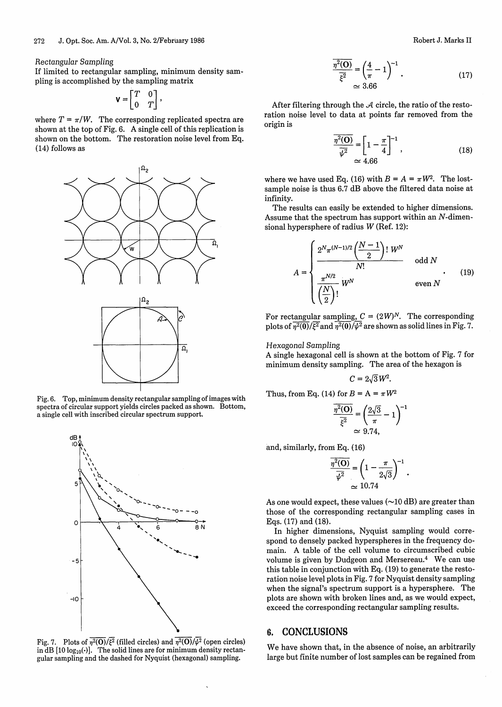Rectangular Sampling

If limited to rectangular sampling, minimum density sampling is accomplished by the sampling matrix

$$
\mathbf{V} = \begin{bmatrix} T & 0 \\ 0 & T \end{bmatrix},
$$

where  $T = \pi/W$ . The corresponding replicated spectra are shown at the top of Fig. 6. A single cell of this replication is shown on the bottom. The restoration noise level from Eq. (14) follows as



Fig. 6. Top, minimum density rectangular sampling of images with spectra of circular support yields circles packed as shown. Bottom, a single cell with inscribed circular spectrum support.



Fig. 7. Plots of  $\eta^2(\mathbf{O})/\xi^2$  (filled circles) and  $\eta^2(\mathbf{O})/\psi^2$  (open circles) in dB [10 log<sub>10</sub>( )]. The solid lines are for minimum density rectan gular sampling and the dashed for Nyquist (hexagonal) sampling.

$$
\frac{\overline{\eta^2(0)}}{\overline{\xi^2}} = \left(\frac{4}{\pi} - 1\right)^{-1}.
$$
\n(17)\n
$$
\approx 3.66
$$

After filtering through the *A* circle, the ratio of the restoration noise level to data at points far removed from the origin is

$$
\frac{\overline{\eta^2(\mathbf{O})}}{\overline{\psi^2}} = \left[1 - \frac{\pi}{4}\right]^{-1},\tag{18}
$$
\n
$$
\approx 4.66
$$

where we have used Eq. (16) with  $B = A = \pi W^2$ . The lostsample noise is thus 6.7 dB above the filtered data noise at infinity.

The results can easily be extended to higher dimensions. Assume that the spectrum has support within an N-dimensional hypersphere of radius W (Ref. 12):

$$
A = \begin{cases} \frac{2^{N} \pi^{(N-1)/2} \left( \frac{N-1}{2} \right)! W^{N}}{N!} & \text{odd } N \\ \frac{\pi^{N/2}}{\left( \frac{N}{2} \right)!} W^{N} & \text{even } N \end{cases}
$$
(19)

For rectangular sampling,  $C = (2W)^N$ . The corresponding plots of  $\overline{\eta^2(0)}/\overline{\xi^2}$  and  $\overline{\eta^2(0)}/\overline{\psi^2}$  are shown as solid lines in Fig. 7.

## Hexagonal Sampling

A single hexagonal cell is shown at the bottom of Fig. 7 for minimum density sampling. The area of the hexagon is

$$
C=2\sqrt{3}W^2.
$$

Thus, from Eq. (14) for  $B = A = \pi W^2$ 

$$
\frac{\overline{\eta^2(\mathbf{O})}}{\overline{\xi^2}} = \left(\frac{2\sqrt{3}}{\pi} - 1\right)^{-1}
$$

$$
\approx 9.74,
$$

and, similarly, from Eq. (16)

1) for 
$$
B = A = \pi W^2
$$
  
\n
$$
\frac{\overline{\eta^2(O)}}{\overline{\xi^2}} = \left(\frac{2\sqrt{3}}{\pi} - 1\right)^{-1}
$$
\n
$$
\approx 9.74,
$$
\n
$$
\frac{\overline{\eta^2(O)}}{\overline{\psi^2}} = \left(1 - \frac{\pi}{2\sqrt{3}}\right)^{-1}.
$$
\n
$$
\approx 10.74
$$

As one would expect, these values  $(\sim]10 \text{ dB}$  are greater than those of the corresponding rectangular sampling cases in Eqs. (17) and (18).

In higher dimensions, Nyquist sampling would correspond to densely packed hyperspheres in the frequency domain. A table of the cell volume to circumscribed cubic volume is given by Dudgeon and Mersereau.4 We can use this table in conjunction with Eq. (19) to generate the restoration noise level plots in Fig. 7 for Nyquist density sampling when the signal's spectrum support is a hypersphere. The plots are shown with broken lines and, as we would expect, exceed the corresponding rectangular sampling results.

## 6. CONCLUSIONS

We have shown that, in the absence of noise, an arbitrarily large but finite number of lost samples can be regained from